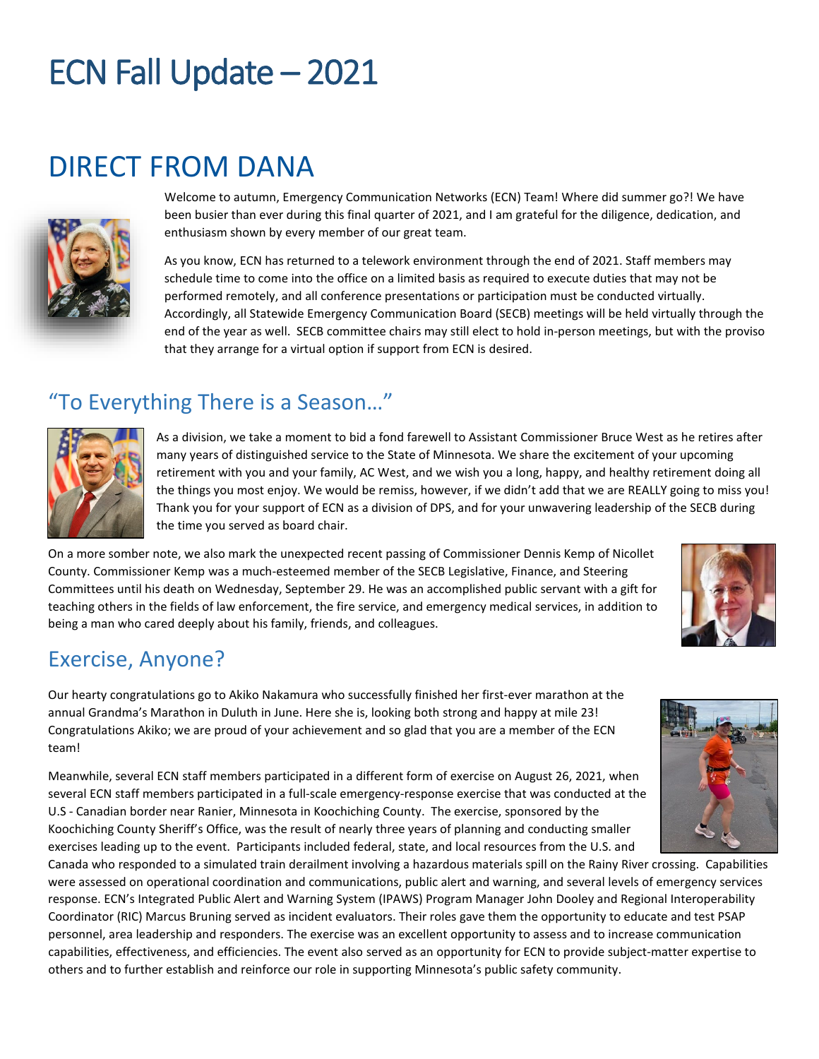### DIRECT FROM DANA



Welcome to autumn, Emergency Communication Networks (ECN) Team! Where did summer go?! We have been busier than ever during this final quarter of 2021, and I am grateful for the diligence, dedication, and enthusiasm shown by every member of our great team.

As you know, ECN has returned to a telework environment through the end of 2021. Staff members may schedule time to come into the office on a limited basis as required to execute duties that may not be performed remotely, and all conference presentations or participation must be conducted virtually. Accordingly, all Statewide Emergency Communication Board (SECB) meetings will be held virtually through the end of the year as well. SECB committee chairs may still elect to hold in-person meetings, but with the proviso that they arrange for a virtual option if support from ECN is desired.

### "To Everything There is a Season…"



As a division, we take a moment to bid a fond farewell to Assistant Commissioner Bruce West as he retires after many years of distinguished service to the State of Minnesota. We share the excitement of your upcoming retirement with you and your family, AC West, and we wish you a long, happy, and healthy retirement doing all the things you most enjoy. We would be remiss, however, if we didn't add that we are REALLY going to miss you! Thank you for your support of ECN as a division of DPS, and for your unwavering leadership of the SECB during the time you served as board chair.

On a more somber note, we also mark the unexpected recent passing of Commissioner Dennis Kemp of Nicollet County. Commissioner Kemp was a much-esteemed member of the SECB Legislative, Finance, and Steering Committees until his death on Wednesday, September 29. He was an accomplished public servant with a gift for teaching others in the fields of law enforcement, the fire service, and emergency medical services, in addition to being a man who cared deeply about his family, friends, and colleagues.

#### Exercise, Anyone?

Our hearty congratulations go to Akiko Nakamura who successfully finished her first-ever marathon at the annual Grandma's Marathon in Duluth in June. Here she is, looking both strong and happy at mile 23! Congratulations Akiko; we are proud of your achievement and so glad that you are a member of the ECN team!

Meanwhile, several ECN staff members participated in a different form of exercise on August 26, 2021, when several ECN staff members participated in a full-scale emergency-response exercise that was conducted at the U.S - Canadian border near Ranier, Minnesota in Koochiching County. The exercise, sponsored by the Koochiching County Sheriff's Office, was the result of nearly three years of planning and conducting smaller exercises leading up to the event. Participants included federal, state, and local resources from the U.S. and

Canada who responded to a simulated train derailment involving a hazardous materials spill on the Rainy River crossing. Capabilities were assessed on operational coordination and communications, public alert and warning, and several levels of emergency services response. ECN's Integrated Public Alert and Warning System (IPAWS) Program Manager John Dooley and Regional Interoperability Coordinator (RIC) Marcus Bruning served as incident evaluators. Their roles gave them the opportunity to educate and test PSAP personnel, area leadership and responders. The exercise was an excellent opportunity to assess and to increase communication capabilities, effectiveness, and efficiencies. The event also served as an opportunity for ECN to provide subject-matter expertise to others and to further establish and reinforce our role in supporting Minnesota's public safety community.



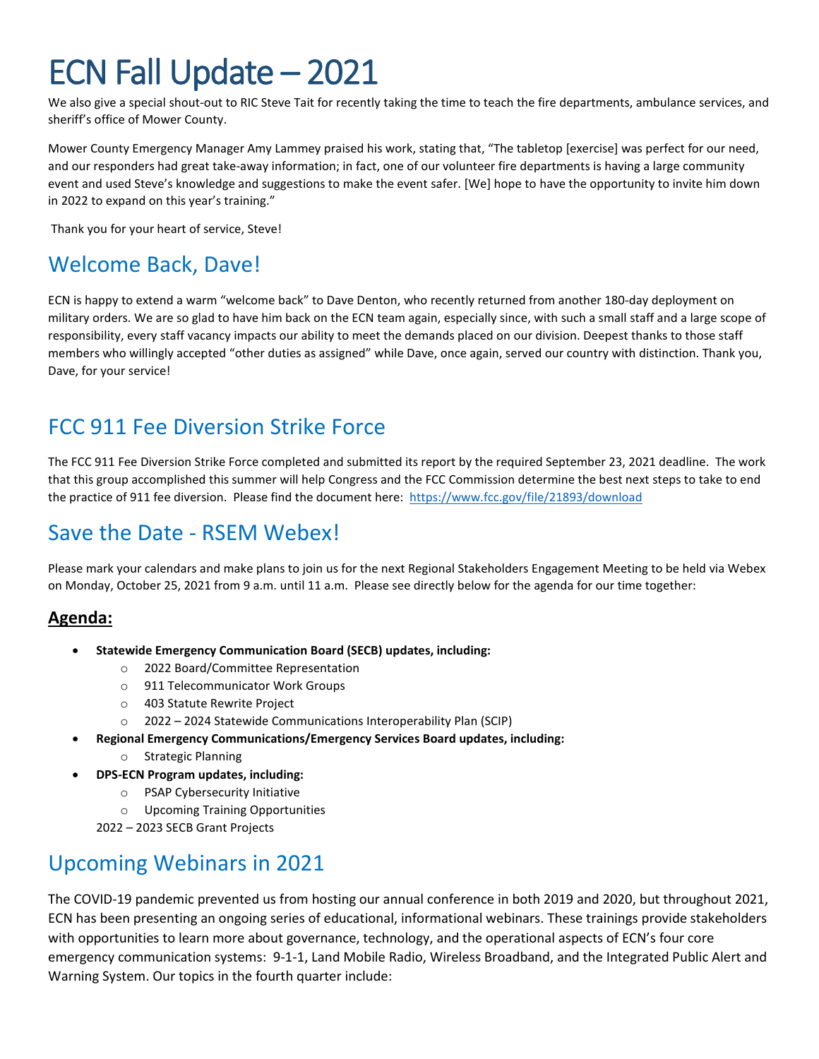We also give a special shout-out to RIC Steve Tait for recently taking the time to teach the fire departments, ambulance services, and sheriff's office of Mower County.

Mower County Emergency Manager Amy Lammey praised his work, stating that, "The tabletop [exercise] was perfect for our need, and our responders had great take-away information; in fact, one of our volunteer fire departments is having a large community event and used Steve's knowledge and suggestions to make the event safer. [We] hope to have the opportunity to invite him down in 2022 to expand on this year's training."

Thank you for your heart of service, Steve!

### Welcome Back, Dave!

ECN is happy to extend a warm "welcome back" to Dave Denton, who recently returned from another 180-day deployment on military orders. We are so glad to have him back on the ECN team again, especially since, with such a small staff and a large scope of responsibility, every staff vacancy impacts our ability to meet the demands placed on our division. Deepest thanks to those staff members who willingly accepted "other duties as assigned" while Dave, once again, served our country with distinction. Thank you, Dave, for your service!

### FCC 911 Fee Diversion Strike Force

The FCC 911 Fee Diversion Strike Force completed and submitted its report by the required September 23, 2021 deadline. The work that this group accomplished this summer will help Congress and the FCC Commission determine the best next steps to take to end the practice of 911 fee diversion. Please find the document here: [https://www.fcc.gov/file/21893/download](https://gcc02.safelinks.protection.outlook.com/?url=https%3A%2F%2Fwww.fcc.gov%2Ffile%2F21893%2Fdownload&data=04%7C01%7CAleta.Nimlos%40state.mn.us%7C15dc3c568aa8481a85b408d982d0d4ea%7Ceb14b04624c445198f26b89c2159828c%7C0%7C0%7C637684655696897299%7CUnknown%7CTWFpbGZsb3d8eyJWIjoiMC4wLjAwMDAiLCJQIjoiV2luMzIiLCJBTiI6Ik1haWwiLCJXVCI6Mn0%3D%7C1000&sdata=x1fxXmoUMFHk7R7mwR5RNxlkgvgWj47muL8dGzbUaZ0%3D&reserved=0)

### Save the Date - RSEM Webex!

Please mark your calendars and make plans to join us for the next Regional Stakeholders Engagement Meeting to be held via Webex on Monday, October 25, 2021 from 9 a.m. until 11 a.m. Please see directly below for the agenda for our time together:

#### **Agenda:**

- **Statewide Emergency Communication Board (SECB) updates, including:**
	- o 2022 Board/Committee Representation
	- o 911 Telecommunicator Work Groups
	- o 403 Statute Rewrite Project
	- o 2022 2024 Statewide Communications Interoperability Plan (SCIP)
- **Regional Emergency Communications/Emergency Services Board updates, including:**
	- o Strategic Planning
- **DPS-ECN Program updates, including:**
	- o PSAP Cybersecurity Initiative
	- o Upcoming Training Opportunities

2022 – 2023 SECB Grant Projects

### Upcoming Webinars in 2021

The COVID-19 pandemic prevented us from hosting our annual conference in both 2019 and 2020, but throughout 2021, ECN has been presenting an ongoing series of educational, informational webinars. These trainings provide stakeholders with opportunities to learn more about governance, technology, and the operational aspects of ECN's four core emergency communication systems: 9-1-1, Land Mobile Radio, Wireless Broadband, and the Integrated Public Alert and Warning System. Our topics in the fourth quarter include: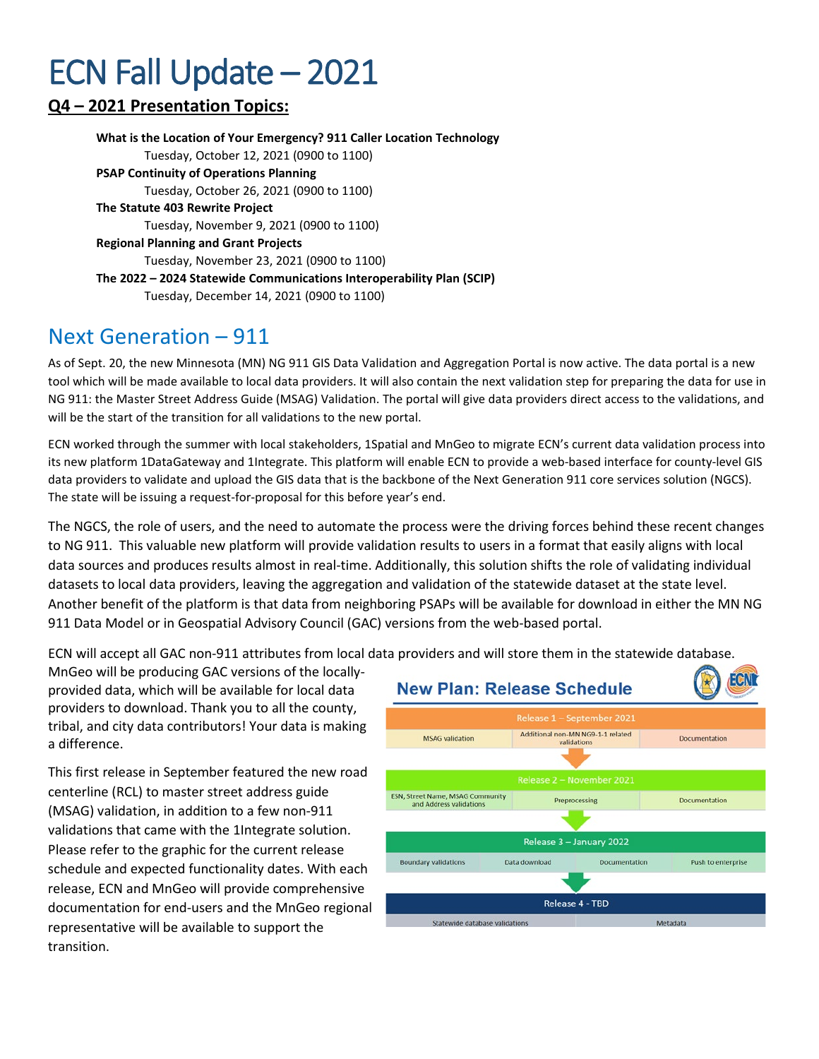#### **Q4 – 2021 Presentation Topics:**

**What is the Location of Your Emergency? 911 Caller Location Technology** Tuesday, October 12, 2021 (0900 to 1100) **PSAP Continuity of Operations Planning** Tuesday, October 26, 2021 (0900 to 1100) **The Statute 403 Rewrite Project** Tuesday, November 9, 2021 (0900 to 1100) **Regional Planning and Grant Projects** Tuesday, November 23, 2021 (0900 to 1100) **The 2022 – 2024 Statewide Communications Interoperability Plan (SCIP)** Tuesday, December 14, 2021 (0900 to 1100)

**Next Generation – 911**<br>As of Sept. 20, the new Minnesota (MN) NG 911 GIS Data Validation and Aggregation Portal is now active. The data portal is a new tool which will be made available to local data providers. It will also contain the next validation step for preparing the data for use in NG 911: the Master Street Address Guide (MSAG) Validation. The portal will give data providers direct access to the validations, and will be the start of the transition for all validations to the new portal.

ECN worked through the summer with local stakeholders, 1Spatial and MnGeo to migrate ECN's current data validation process into its new platform 1DataGateway and 1Integrate. This platform will enable ECN to provide a web-based interface for county-level GIS data providers to validate and upload the GIS data that is the backbone of the Next Generation 911 core services solution (NGCS). The state will be issuing a request-for-proposal for this before year's end.

The NGCS, the role of users, and the need to automate the process were the driving forces behind these recent changes to NG 911. This valuable new platform will provide validation results to users in a format that easily aligns with local data sources and produces results almost in real-time. Additionally, this solution shifts the role of validating individual datasets to local data providers, leaving the aggregation and validation of the statewide dataset at the state level. Another benefit of the platform is that data from neighboring PSAPs will be available for download in either the MN NG 911 Data Model or in Geospatial Advisory Council (GAC) versions from the web-based portal.

ECN will accept all GAC non-911 attributes from local data providers and will store them in the statewide database.

MnGeo will be producing GAC versions of the locallyprovided data, which will be available for local data providers to download. Thank you to all the county, tribal, and city data contributors! Your data is making a difference.

This first release in September featured the new road centerline (RCL) to master street address guide (MSAG) validation, in addition to a few non-911 validations that came with the 1Integrate solution. Please refer to the graphic for the current release schedule and expected functionality dates. With each release, ECN and MnGeo will provide comprehensive documentation for end-users and the MnGeo regional representative will be available to support the transition.

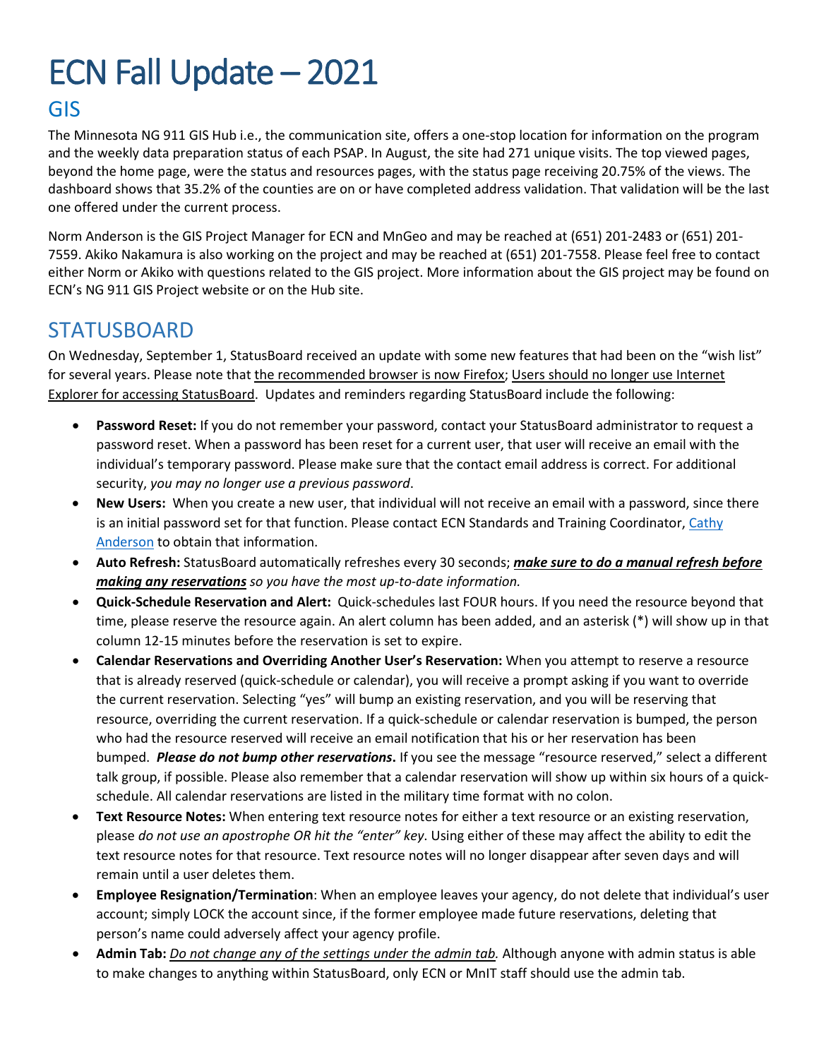#### GIS

The Minnesota NG 911 GIS Hub i.e., the communication site, offers a one-stop location for information on the program and the weekly data preparation status of each PSAP. In August, the site had 271 unique visits. The top viewed pages, beyond the home page, were the status and resources pages, with the status page receiving 20.75% of the views. The dashboard shows that 35.2% of the counties are on or have completed address validation. That validation will be the last one offered under the current process.

Norm Anderson is the GIS Project Manager for ECN and MnGeo and may be reached at (651) 201-2483 or (651) 201- 7559. Akiko Nakamura is also working on the project and may be reached at (651) 201-7558. Please feel free to contact either Norm or Akiko with questions related to the GIS project. More information about the GIS project may be found on ECN's NG 911 GIS Project website or on the Hub site.

#### **STATUSBOARD**

On Wednesday, September 1, StatusBoard received an update with some new features that had been on the "wish list" for several years. Please note that the recommended browser is now Firefox; Users should no longer use Internet Explorer for accessing StatusBoard. Updates and reminders regarding StatusBoard include the following:

- **Password Reset:** If you do not remember your password, contact your StatusBoard administrator to request a password reset. When a password has been reset for a current user, that user will receive an email with the individual's temporary password. Please make sure that the contact email address is correct. For additional security, *you may no longer use a previous password*.
- **New Users:** When you create a new user, that individual will not receive an email with a password, since there is an initial password set for that function. Please contact ECN Standards and Training Coordinator, [Cathy](mailto:cathy.anderson@state.mn.us)  [Anderson](mailto:cathy.anderson@state.mn.us) to obtain that information.
- **Auto Refresh:** StatusBoard automatically refreshes every 30 seconds; *make sure to do a manual refresh before making any reservations so you have the most up-to-date information.*
- **Quick-Schedule Reservation and Alert:** Quick-schedules last FOUR hours. If you need the resource beyond that time, please reserve the resource again. An alert column has been added, and an asterisk (\*) will show up in that column 12-15 minutes before the reservation is set to expire.
- **Calendar Reservations and Overriding Another User's Reservation:** When you attempt to reserve a resource that is already reserved (quick-schedule or calendar), you will receive a prompt asking if you want to override the current reservation. Selecting "yes" will bump an existing reservation, and you will be reserving that resource, overriding the current reservation. If a quick-schedule or calendar reservation is bumped, the person who had the resource reserved will receive an email notification that his or her reservation has been bumped. *Please do not bump other reservations***.** If you see the message "resource reserved," select a different talk group, if possible. Please also remember that a calendar reservation will show up within six hours of a quickschedule. All calendar reservations are listed in the military time format with no colon.
- **Text Resource Notes:** When entering text resource notes for either a text resource or an existing reservation, please *do not use an apostrophe OR hit the "enter" key*. Using either of these may affect the ability to edit the text resource notes for that resource. Text resource notes will no longer disappear after seven days and will remain until a user deletes them.
- **Employee Resignation/Termination**: When an employee leaves your agency, do not delete that individual's user account; simply LOCK the account since, if the former employee made future reservations, deleting that person's name could adversely affect your agency profile.
- **Admin Tab:** *Do not change any of the settings under the admin tab.* Although anyone with admin status is able to make changes to anything within StatusBoard, only ECN or MnIT staff should use the admin tab.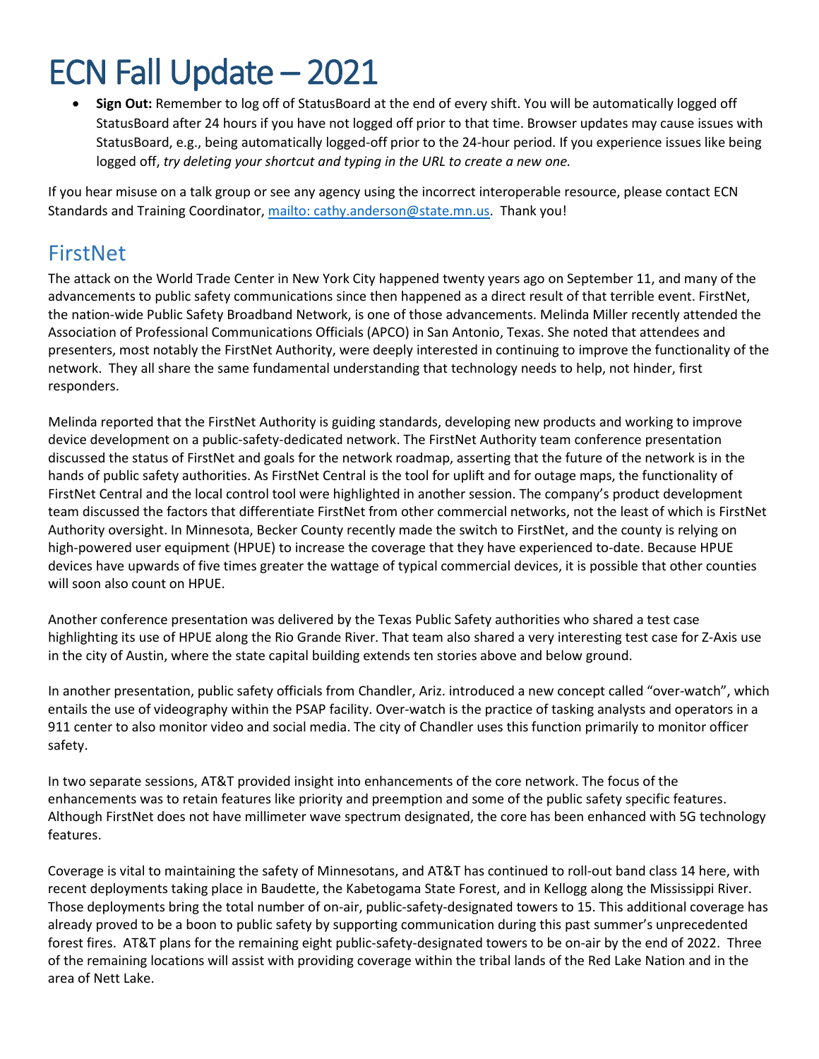• **Sign Out:** Remember to log off of StatusBoard at the end of every shift. You will be automatically logged off StatusBoard after 24 hours if you have not logged off prior to that time. Browser updates may cause issues with StatusBoard, e.g., being automatically logged-off prior to the 24-hour period. If you experience issues like being logged off, *try deleting your shortcut and typing in the URL to create a new one.*

If you hear misuse on a talk group or see any agency using the incorrect interoperable resource, please contact ECN Standards and Training Coordinator, mailto: [cathy.anderson@state.mn.us.](mailto:mailto:%20cathy.anderson@state.mn.us) Thank you!

#### FirstNet

The attack on the World Trade Center in New York City happened twenty years ago on September 11, and many of the advancements to public safety communications since then happened as a direct result of that terrible event. FirstNet, the nation-wide Public Safety Broadband Network, is one of those advancements. Melinda Miller recently attended the Association of Professional Communications Officials (APCO) in San Antonio, Texas. She noted that attendees and presenters, most notably the FirstNet Authority, were deeply interested in continuing to improve the functionality of the network. They all share the same fundamental understanding that technology needs to help, not hinder, first responders.

Melinda reported that the FirstNet Authority is guiding standards, developing new products and working to improve device development on a public-safety-dedicated network. The FirstNet Authority team conference presentation discussed the status of FirstNet and goals for the network roadmap, asserting that the future of the network is in the hands of public safety authorities. As FirstNet Central is the tool for uplift and for outage maps, the functionality of FirstNet Central and the local control tool were highlighted in another session. The company's product development team discussed the factors that differentiate FirstNet from other commercial networks, not the least of which is FirstNet Authority oversight. In Minnesota, Becker County recently made the switch to FirstNet, and the county is relying on high-powered user equipment (HPUE) to increase the coverage that they have experienced to-date. Because HPUE devices have upwards of five times greater the wattage of typical commercial devices, it is possible that other counties will soon also count on HPUE.

Another conference presentation was delivered by the Texas Public Safety authorities who shared a test case highlighting its use of HPUE along the Rio Grande River. That team also shared a very interesting test case for Z-Axis use in the city of Austin, where the state capital building extends ten stories above and below ground.

In another presentation, public safety officials from Chandler, Ariz. introduced a new concept called "over-watch", which entails the use of videography within the PSAP facility. Over-watch is the practice of tasking analysts and operators in a 911 center to also monitor video and social media. The city of Chandler uses this function primarily to monitor officer safety.

In two separate sessions, AT&T provided insight into enhancements of the core network. The focus of the enhancements was to retain features like priority and preemption and some of the public safety specific features. Although FirstNet does not have millimeter wave spectrum designated, the core has been enhanced with 5G technology features.

Coverage is vital to maintaining the safety of Minnesotans, and AT&T has continued to roll-out band class 14 here, with recent deployments taking place in Baudette, the Kabetogama State Forest, and in Kellogg along the Mississippi River. Those deployments bring the total number of on-air, public-safety-designated towers to 15. This additional coverage has already proved to be a boon to public safety by supporting communication during this past summer's unprecedented forest fires. AT&T plans for the remaining eight public-safety-designated towers to be on-air by the end of 2022. Three of the remaining locations will assist with providing coverage within the tribal lands of the Red Lake Nation and in the area of Nett Lake.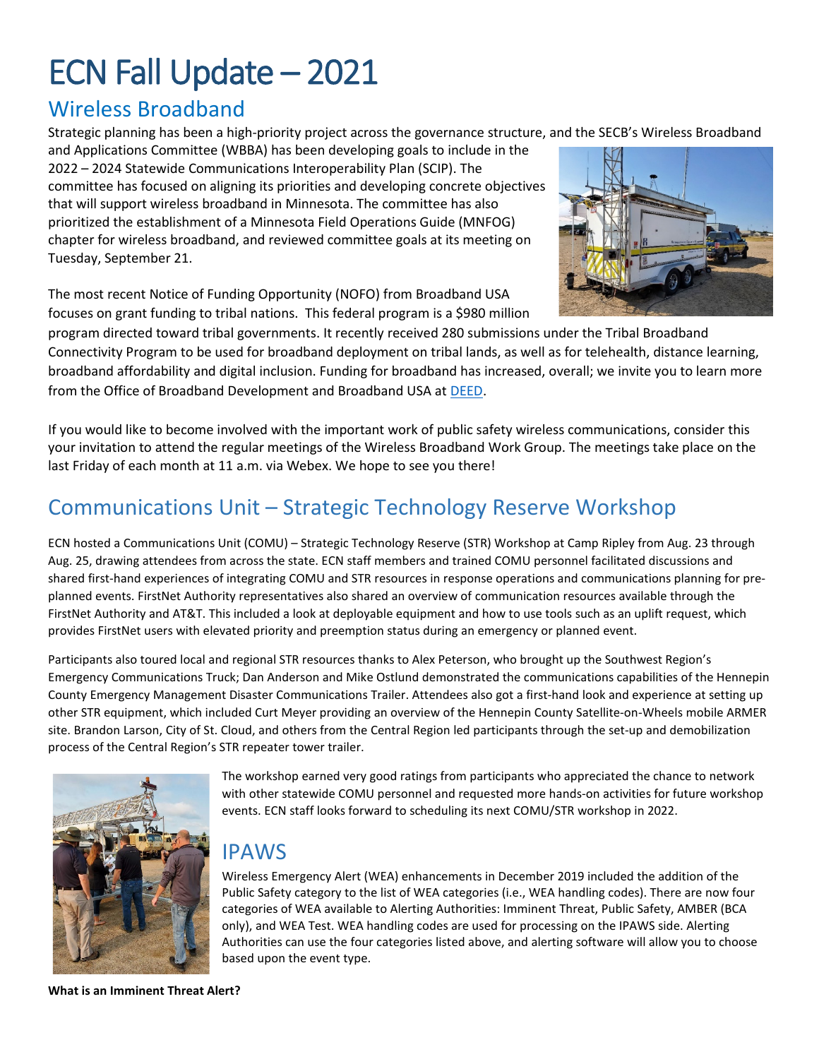### Wireless Broadband

Strategic planning has been a high-priority project across the governance structure, and the SECB's Wireless Broadband

and Applications Committee (WBBA) has been developing goals to include in the 2022 – 2024 Statewide Communications Interoperability Plan (SCIP). The committee has focused on aligning its priorities and developing concrete objectives that will support wireless broadband in Minnesota. The committee has also prioritized the establishment of a Minnesota Field Operations Guide (MNFOG) chapter for wireless broadband, and reviewed committee goals at its meeting on Tuesday, September 21.

The most recent Notice of Funding Opportunity (NOFO) from Broadband USA focuses on grant funding to tribal nations. This federal program is a \$980 million



program directed toward tribal governments. It recently received 280 submissions under the Tribal Broadband Connectivity Program to be used for broadband deployment on tribal lands, as well as for telehealth, distance learning, broadband affordability and digital inclusion. Funding for broadband has increased, overall; we invite you to learn more from the Office of Broadband Development and Broadband USA a[t DEED.](https://mn.gov/deed/programs-services/broadband/)

If you would like to become involved with the important work of public safety wireless communications, consider this your invitation to attend the regular meetings of the Wireless Broadband Work Group. The meetings take place on the last Friday of each month at 11 a.m. via Webex. We hope to see you there!

### Communications Unit – Strategic Technology Reserve Workshop

ECN hosted a Communications Unit (COMU) – Strategic Technology Reserve (STR) Workshop at Camp Ripley from Aug. 23 through Aug. 25, drawing attendees from across the state. ECN staff members and trained COMU personnel facilitated discussions and shared first-hand experiences of integrating COMU and STR resources in response operations and communications planning for preplanned events. FirstNet Authority representatives also shared an overview of communication resources available through the FirstNet Authority and AT&T. This included a look at deployable equipment and how to use tools such as an uplift request, which provides FirstNet users with elevated priority and preemption status during an emergency or planned event.

Participants also toured local and regional STR resources thanks to Alex Peterson, who brought up the Southwest Region's Emergency Communications Truck; Dan Anderson and Mike Ostlund demonstrated the communications capabilities of the Hennepin County Emergency Management Disaster Communications Trailer. Attendees also got a first-hand look and experience at setting up other STR equipment, which included Curt Meyer providing an overview of the Hennepin County Satellite-on-Wheels mobile ARMER site. Brandon Larson, City of St. Cloud, and others from the Central Region led participants through the set-up and demobilization process of the Central Region's STR repeater tower trailer.



The workshop earned very good ratings from participants who appreciated the chance to network with other statewide COMU personnel and requested more hands-on activities for future workshop events. ECN staff looks forward to scheduling its next COMU/STR workshop in 2022.

#### IPAWS

Wireless Emergency Alert (WEA) enhancements in December 2019 included the addition of the Public Safety category to the list of WEA categories (i.e., WEA handling codes). There are now four categories of WEA available to Alerting Authorities: Imminent Threat, Public Safety, AMBER (BCA only), and WEA Test. WEA handling codes are used for processing on the IPAWS side. Alerting Authorities can use the four categories listed above, and alerting software will allow you to choose based upon the event type.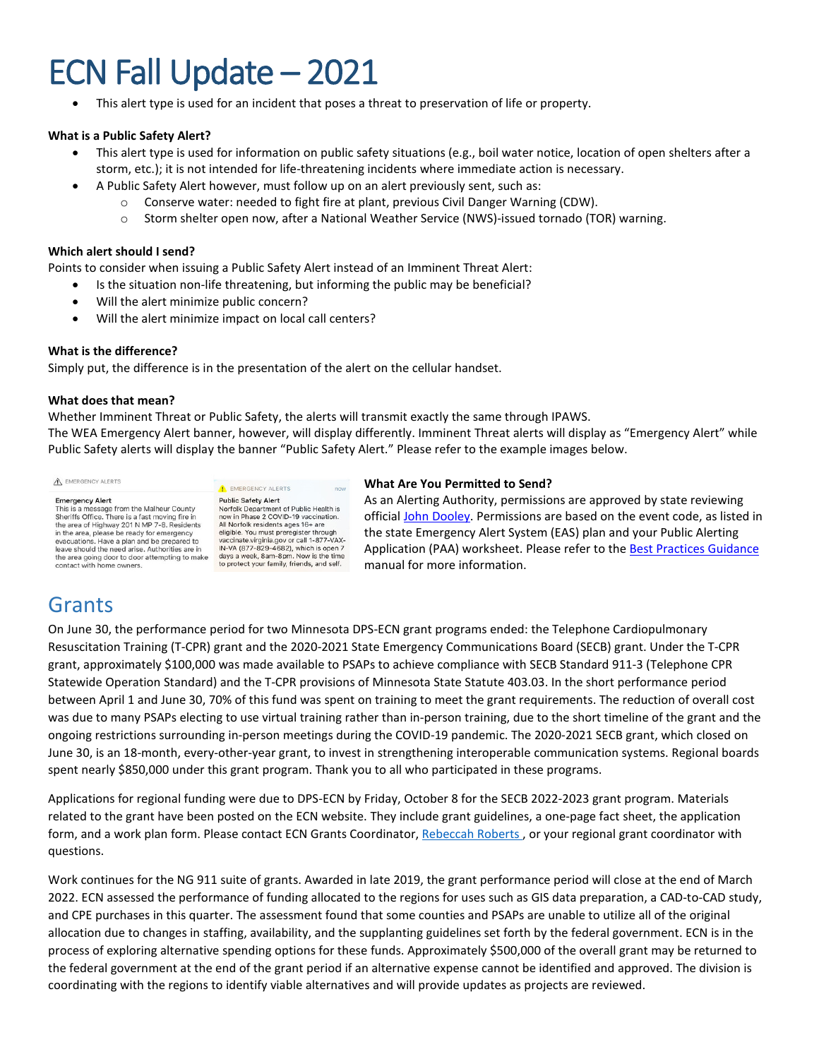This alert type is used for an incident that poses a threat to preservation of life or property.

#### **What is a Public Safety Alert?**

- This alert type is used for information on public safety situations (e.g., boil water notice, location of open shelters after a storm, etc.); it is not intended for life-threatening incidents where immediate action is necessary.
- A Public Safety Alert however, must follow up on an alert previously sent, such as:
	- o Conserve water: needed to fight fire at plant, previous Civil Danger Warning (CDW).
	- o Storm shelter open now, after a National Weather Service (NWS)-issued tornado (TOR) warning.

#### **Which alert should I send?**

Points to consider when issuing a Public Safety Alert instead of an Imminent Threat Alert:

- Is the situation non-life threatening, but informing the public may be beneficial?
- Will the alert minimize public concern?
- Will the alert minimize impact on local call centers?

#### **What is the difference?**

Simply put, the difference is in the presentation of the alert on the cellular handset.

#### **What does that mean?**

Whether Imminent Threat or Public Safety, the alerts will transmit exactly the same through IPAWS. The WEA Emergency Alert banner, however, will display differently. Imminent Threat alerts will display as "Emergency Alert" while Public Safety alerts will display the banner "Public Safety Alert." Please refer to the example images below.

A EMERGENCY ALERTS

**Emergency Alert**<br>This is a message from the Malheur County<br>Sheriffs Office. There is a fast moving fire in the area of Highway 201 N MP 7-8. Residents in the area of Highway 2011 Willy - 0. Residents<br>in the area, please be ready for emergency<br>evacuations. Have a plan and be prepared to leave should the need arise. Authorities are in the area going door to door attempting to make<br>contact with home owners. **A** EMERGENCY ALERTS **Public Safety Alert** Public Safety Alert<br>Norfolk Department of Public Health is<br>now in Phase 2 COVID-19 vaccination. All Norfolk residents ages 16+ are All normal results are eighter through<br>vaccinate virginia.gov or call 1-877-VAX-<br>IN-VA (877-829-4682), which is open 7 days a week, 8am-8pm. Now is the time to protect your family, friends, and self.

#### **What Are You Permitted to Send?**

As an Alerting Authority, permissions are approved by state reviewing official [John Dooley.](mailto:john.dooley@state.mn.us?subject=Question%20on%20IPAWS%20Permissions) Permissions are based on the event code, as listed in the state Emergency Alert System (EAS) plan and your Public Alerting Application (PAA) worksheet. Please refer to the [Best Practices Guidance](https://dps.mn.gov/divisions/ecn/Documents/AWN_Best_Practices_Guide_2.02.pdf) manual for more information.

#### Grants

On June 30, the performance period for two Minnesota DPS-ECN grant programs ended: the Telephone Cardiopulmonary Resuscitation Training (T-CPR) grant and the 2020-2021 State Emergency Communications Board (SECB) grant. Under the T-CPR grant, approximately \$100,000 was made available to PSAPs to achieve compliance with SECB Standard 911-3 (Telephone CPR Statewide Operation Standard) and the T-CPR provisions of Minnesota State Statute 403.03. In the short performance period between April 1 and June 30, 70% of this fund was spent on training to meet the grant requirements. The reduction of overall cost was due to many PSAPs electing to use virtual training rather than in-person training, due to the short timeline of the grant and the ongoing restrictions surrounding in-person meetings during the COVID-19 pandemic. The 2020-2021 SECB grant, which closed on June 30, is an 18-month, every-other-year grant, to invest in strengthening interoperable communication systems. Regional boards spent nearly \$850,000 under this grant program. Thank you to all who participated in these programs.

Applications for regional funding were due to DPS-ECN by Friday, October 8 for the SECB 2022-2023 grant program. Materials related to the grant have been posted on the ECN website. They include grant guidelines, a one-page fact sheet, the application form, and a work plan form. Please contact ECN Grants Coordinator[, Rebeccah Roberts](mailto:Rebeccah.m.roberts@state.mn.us) , or your regional grant coordinator with questions.

Work continues for the NG 911 suite of grants. Awarded in late 2019, the grant performance period will close at the end of March 2022. ECN assessed the performance of funding allocated to the regions for uses such as GIS data preparation, a CAD-to-CAD study, and CPE purchases in this quarter. The assessment found that some counties and PSAPs are unable to utilize all of the original allocation due to changes in staffing, availability, and the supplanting guidelines set forth by the federal government. ECN is in the process of exploring alternative spending options for these funds. Approximately \$500,000 of the overall grant may be returned to the federal government at the end of the grant period if an alternative expense cannot be identified and approved. The division is coordinating with the regions to identify viable alternatives and will provide updates as projects are reviewed.